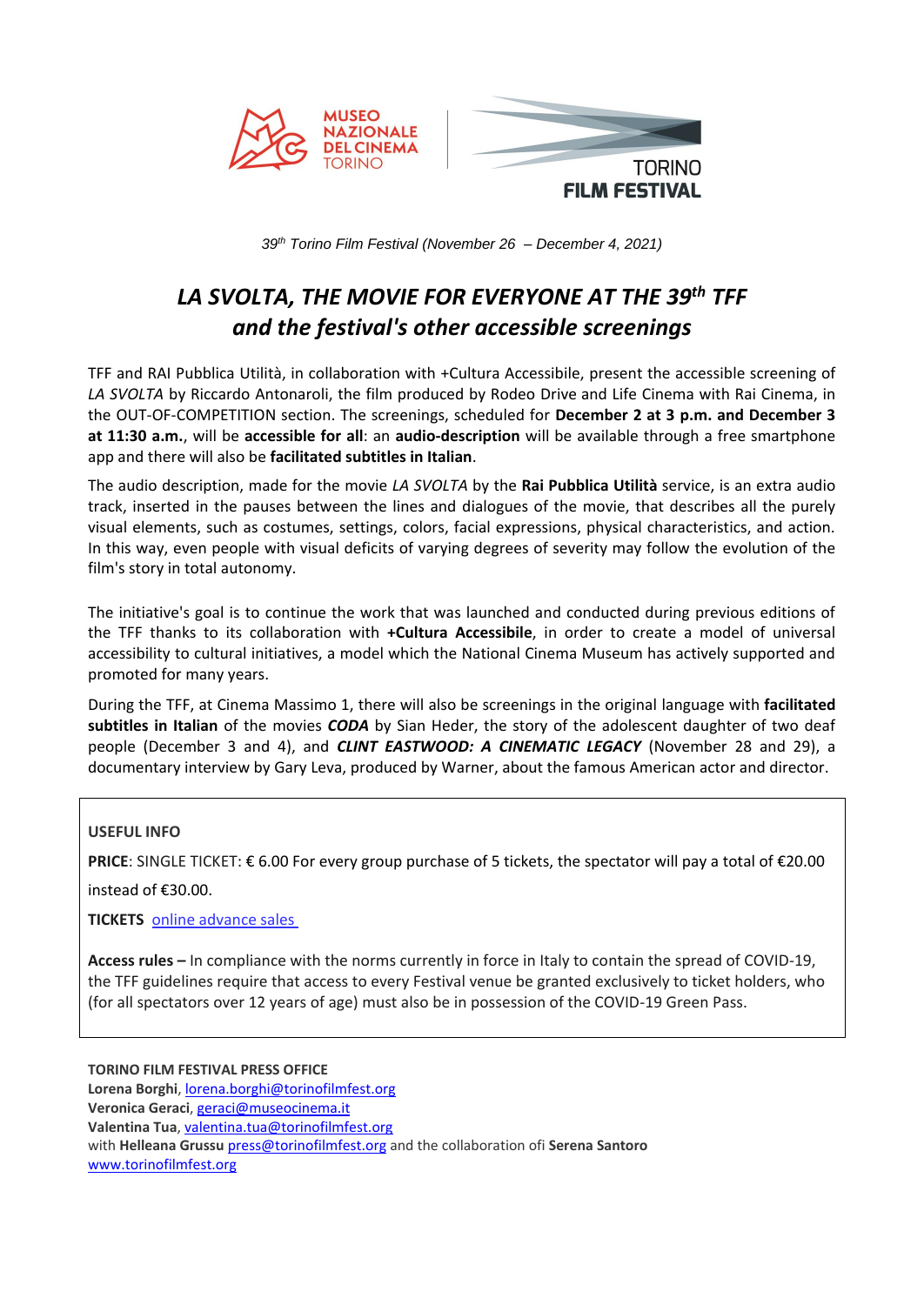

*39th Torino Film Festival (November 26 – December 4, 2021)*

# *LA SVOLTA, THE MOVIE FOR EVERYONE AT THE 39th TFF and the festival's other accessible screenings*

TFF and RAI Pubblica Utilità, in collaboration with +Cultura Accessibile, present the accessible screening of *LA SVOLTA* by Riccardo Antonaroli, the film produced by Rodeo Drive and Life Cinema with Rai Cinema, in the OUT-OF-COMPETITION section. The screenings, scheduled for **December 2 at 3 p.m. and December 3 at 11:30 a.m.**, will be **accessible for all**: an **audio-description** will be available through a free smartphone app and there will also be **facilitated subtitles in Italian**.

The audio description, made for the movie *LA SVOLTA* by the **Rai Pubblica Utilità** service, is an extra audio track, inserted in the pauses between the lines and dialogues of the movie, that describes all the purely visual elements, such as costumes, settings, colors, facial expressions, physical characteristics, and action. In this way, even people with visual deficits of varying degrees of severity may follow the evolution of the film's story in total autonomy.

The initiative's goal is to continue the work that was launched and conducted during previous editions of the TFF thanks to its collaboration with **+Cultura Accessibile**, in order to create a model of universal accessibility to cultural initiatives, a model which the National Cinema Museum has actively supported and promoted for many years.

During the TFF, at Cinema Massimo 1, there will also be screenings in the original language with **facilitated subtitles in Italian** of the movies *CODA* by Sian Heder, the story of the adolescent daughter of two deaf people (December 3 and 4), and *CLINT EASTWOOD: A CINEMATIC LEGACY* (November 28 and 29), a documentary interview by Gary Leva, produced by Warner, about the famous American actor and director.

#### **USEFUL INFO**

**PRICE**: SINGLE TICKET: € 6.00 For every group purchase of 5 tickets, the spectator will pay a total of €20.00

instead of €30.00.

**TICKETS** [online](https://biglietteria.torinofilmfest.org/biglietti/Web/Login.aspx?ReturnUrl=%2Fbiglietti%2FWeb%2FSchedaEvento.aspx%3Fpartner%3DFEST%26CodiceSpettacoloST%3D44%26IdEvento%3D1103) advance sales

**Access rules –** In compliance with the norms currently in force in Italy to contain the spread of COVID-19, the TFF guidelines require that access to every Festival venue be granted exclusively to ticket holders, who (for all spectators over 12 years of age) must also be in possession of the COVID-19 Green Pass.

**TORINO FILM FESTIVAL PRESS OFFICE**

**Lorena Borghi**, [lorena.borghi@torinofilmfest.org](mailto:lorena.borghi@torinofilmfest.org)

**Veronica Geraci**, [geraci@museocinema.it](mailto:geraci@museocinema.it)

**Valentina Tua**, [valentina.tua@torinofilmfest.org](mailto:valentina.tua@torinofilmfest.org)

with **Helleana Grussu** [press@torinofilmfest.org](mailto:press@torinofilmfest.org) and the collaboration ofi **Serena Santoro** [www.torinofilmfest.org](http://www.torinofilmfest.org/)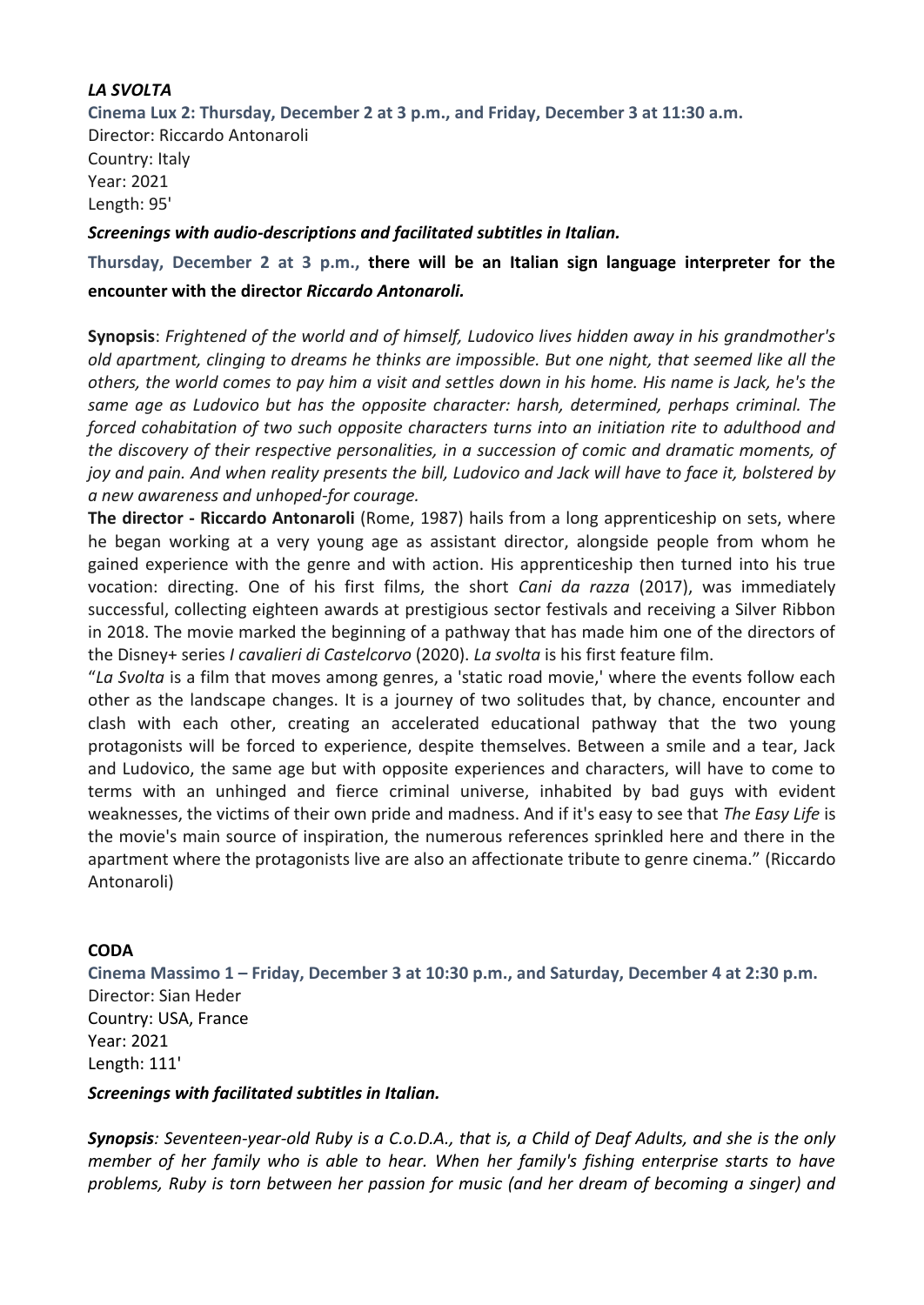## *LA SVOLTA*

**Cinema Lux 2: Thursday, December 2 at 3 p.m., and Friday, December 3 at 11:30 a.m.** Director: Riccardo Antonaroli Country: Italy Year: 2021 Length: 95'

#### *Screenings with audio-descriptions and facilitated subtitles in Italian.*

**Thursday, December 2 at 3 p.m., there will be an Italian sign language interpreter for the encounter with the director** *Riccardo Antonaroli.*

**Synopsis**: *Frightened of the world and of himself, Ludovico lives hidden away in his grandmother's old apartment, clinging to dreams he thinks are impossible. But one night, that seemed like all the others, the world comes to pay him a visit and settles down in his home. His name is Jack, he's the same age as Ludovico but has the opposite character: harsh, determined, perhaps criminal. The forced cohabitation of two such opposite characters turns into an initiation rite to adulthood and the discovery of their respective personalities, in a succession of comic and dramatic moments, of joy and pain. And when reality presents the bill, Ludovico and Jack will have to face it, bolstered by a new awareness and unhoped-for courage.*

**The director - Riccardo Antonaroli** (Rome, 1987) hails from a long apprenticeship on sets, where he began working at a very young age as assistant director, alongside people from whom he gained experience with the genre and with action. His apprenticeship then turned into his true vocation: directing. One of his first films, the short *Cani da razza* (2017), was immediately successful, collecting eighteen awards at prestigious sector festivals and receiving a Silver Ribbon in 2018. The movie marked the beginning of a pathway that has made him one of the directors of the Disney+ series *I cavalieri di Castelcorvo* (2020). *La svolta* is his first feature film.

"*La Svolta* is a film that moves among genres, a 'static road movie,' where the events follow each other as the landscape changes. It is a journey of two solitudes that, by chance, encounter and clash with each other, creating an accelerated educational pathway that the two young protagonists will be forced to experience, despite themselves. Between a smile and a tear, Jack and Ludovico, the same age but with opposite experiences and characters, will have to come to terms with an unhinged and fierce criminal universe, inhabited by bad guys with evident weaknesses, the victims of their own pride and madness. And if it's easy to see that *The Easy Life* is the movie's main source of inspiration, the numerous references sprinkled here and there in the apartment where the protagonists live are also an affectionate tribute to genre cinema." (Riccardo Antonaroli)

## **CODA**

**Cinema Massimo 1 – Friday, December 3 at 10:30 p.m., and Saturday, December 4 at 2:30 p.m.**  Director: Sian Heder Country: USA, France Year: 2021 Length: 111'

## *Screenings with facilitated subtitles in Italian.*

*Synopsis: Seventeen-year-old Ruby is a C.o.D.A., that is, a Child of Deaf Adults, and she is the only member of her family who is able to hear. When her family's fishing enterprise starts to have problems, Ruby is torn between her passion for music (and her dream of becoming a singer) and*